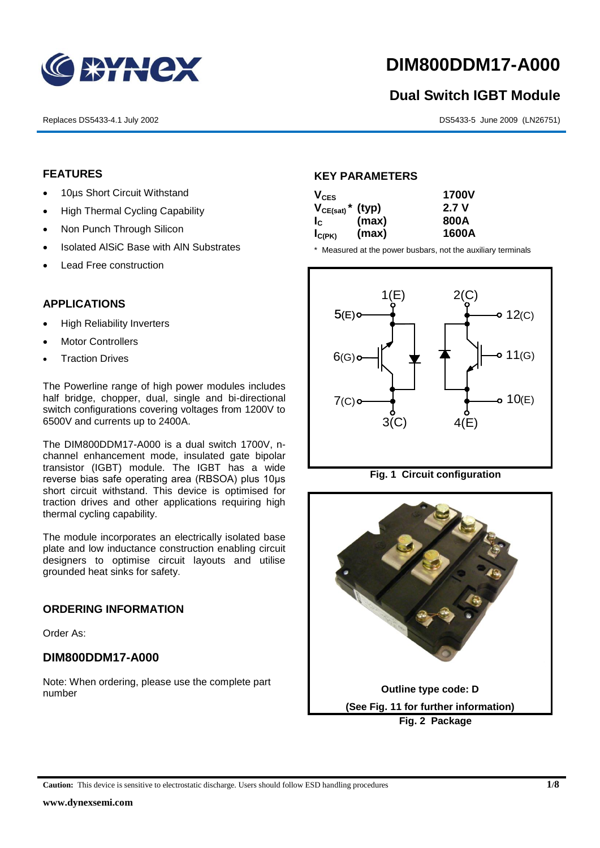

## **DIM800DDM17-A000**

# **Dual Switch IGBT Module** 1<br>1<br>1

Replaces DS5433-4.1 July 2002 DS5433-5 June 2009 (LN26751)

#### **FEATURES**

- 10µs Short Circuit Withstand
	- High Thermal Cycling Capability
- Non Punch Through Silicon
	- Isolated AISiC Base with AIN Substrates
	- Lead Free construction

#### **APPLICATIONS**

- High Reliability Inverters
- Motor Controllers
- Traction Drives

The Powerline range of high power modules includes half bridge, chopper, dual, single and bi-directional switch configurations covering voltages from 1200V to 6500V and currents up to 2400A.

The DIM800DDM17-A000 is a dual switch 1700V, nchannel enhancement mode, insulated gate bipolar transistor (IGBT) module. The IGBT has a wide reverse bias safe operating area (RBSOA) plus 10μs short circuit withstand. This device is optimised for traction drives and other applications requiring high thermal cycling capability.

The module incorporates an electrically isolated base plate and low inductance construction enabling circuit designers to optimise circuit layouts and utilise grounded heat sinks for safety.

#### **ORDERING INFORMATION**

Order As:

#### **DIM800DDM17-A000**

Note: When ordering, please use the complete part number

#### **KEY PARAMETERS**

| $V_{CES}$                        |       | <b>1700V</b> |  |
|----------------------------------|-------|--------------|--|
| $V_{CE(sat)}$ <sup>*</sup> (typ) |       | 2.7V         |  |
| $I_{\rm C}$                      | (max) | 800A         |  |
| $I_{C(PK)}$                      | (max) | 1600A        |  |

\* Measured at the power busbars, not the auxiliary terminals



**Fig. 1 Circuit configuration**



**Caution:** This device is sensitive to electrostatic discharge. Users should follow ESD handling procedures **1/8**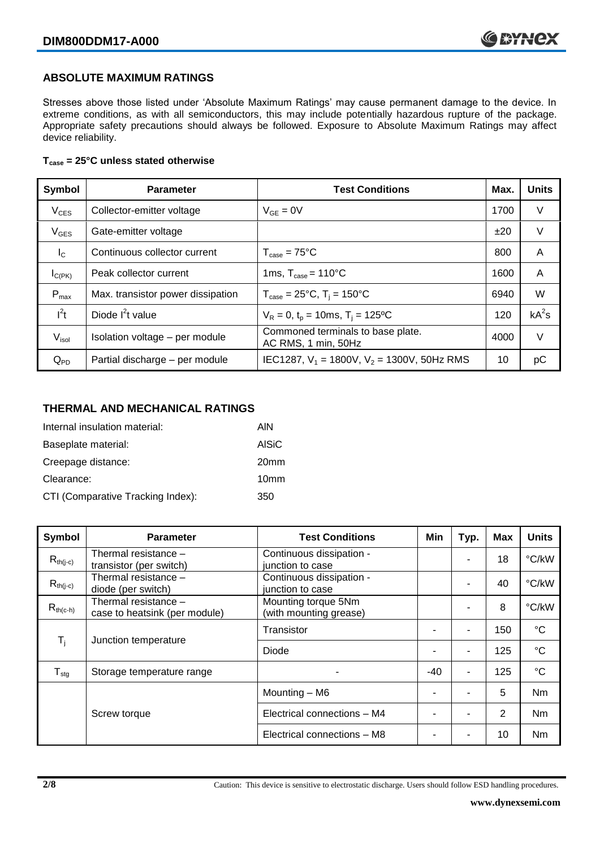#### **ABSOLUTE MAXIMUM RATINGS**

Stresses above those listed under 'Absolute Maximum Ratings' may cause permanent damage to the device. In extreme conditions, as with all semiconductors, this may include potentially hazardous rupture of the package. Appropriate safety precautions should always be followed. Exposure to Absolute Maximum Ratings may affect device reliability.

#### **Tcase = 25°C unless stated otherwise**

| Symbol           | <b>Parameter</b>                  | <b>Test Conditions</b>                                   | Max. | <b>Units</b> |
|------------------|-----------------------------------|----------------------------------------------------------|------|--------------|
| $V_{CES}$        | Collector-emitter voltage         | $V_{GF} = 0V$                                            | 1700 | V            |
| $V_{GES}$        | Gate-emitter voltage              |                                                          | ±20  | $\vee$       |
| $I_{\rm C}$      | Continuous collector current      | $T_{\text{case}} = 75^{\circ}C$                          | 800  | A            |
| $I_{C(PK)}$      | Peak collector current            | 1ms, $T_{\text{case}} = 110^{\circ}$ C                   | 1600 | A            |
| $P_{\text{max}}$ | Max. transistor power dissipation | $T_{\text{case}} = 25^{\circ}C$ , $T_i = 150^{\circ}C$   | 6940 | W            |
| $I^2t$           | Diode $I^2t$ value                | $V_R = 0$ , $t_p = 10$ ms, $T_i = 125$ °C                | 120  | $kA^2s$      |
| $V_{\sf isol}$   | Isolation voltage - per module    | Commoned terminals to base plate.<br>AC RMS, 1 min, 50Hz | 4000 | $\vee$       |
| $Q_{PD}$         | Partial discharge - per module    | IEC1287, $V_1$ = 1800V, $V_2$ = 1300V, 50Hz RMS          | 10   | рC           |

#### **THERMAL AND MECHANICAL RATINGS**

| Internal insulation material:     | AIN              |
|-----------------------------------|------------------|
| Baseplate material:               | <b>AISiC</b>     |
| Creepage distance:                | 20 <sub>mm</sub> |
| Clearance:                        | 10 <sub>mm</sub> |
| CTI (Comparative Tracking Index): | 350              |

| <b>Symbol</b>           | <b>Parameter</b>                                      | <b>Test Conditions</b>                        | Min   | Typ. | <b>Max</b> | <b>Units</b> |
|-------------------------|-------------------------------------------------------|-----------------------------------------------|-------|------|------------|--------------|
| $R_{th(i-c)}$           | Thermal resistance -<br>transistor (per switch)       | Continuous dissipation -<br>junction to case  |       |      | 18         | °C/kW        |
| $R_{th(j-c)}$           | Thermal resistance -<br>diode (per switch)            | Continuous dissipation -<br>junction to case  |       |      | 40         | °C/kW        |
| $R_{th(c-h)}$           | Thermal resistance -<br>case to heatsink (per module) | Mounting torque 5Nm<br>(with mounting grease) |       |      | 8          | °C/kW        |
| $\mathsf{T}_\mathsf{i}$ | Junction temperature                                  | Transistor                                    |       | ۰    | 150        | $^{\circ}C$  |
|                         |                                                       | Diode                                         |       | ۰    | 125        | $^{\circ}C$  |
| $T_{\text{stg}}$        | Storage temperature range                             |                                               | $-40$ | ٠    | 125        | $^{\circ}C$  |
|                         |                                                       | Mounting - M6                                 |       |      | 5          | <b>Nm</b>    |
|                         | Screw torque                                          | Electrical connections - M4                   |       |      | 2          | Nm           |
|                         |                                                       | Electrical connections - M8                   |       |      | 10         | <b>Nm</b>    |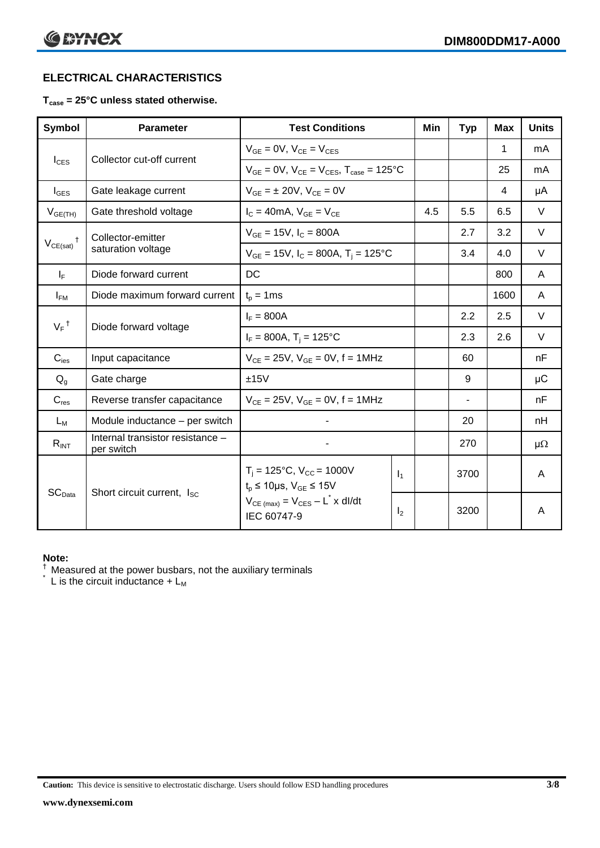#### **ELECTRICAL CHARACTERISTICS**

#### **Tcase = 25°C unless stated otherwise.**

| <b>Symbol</b>                 | <b>Parameter</b>                               | <b>Test Conditions</b>                                                           |                | Min | <b>Typ</b> | <b>Max</b> | <b>Units</b> |
|-------------------------------|------------------------------------------------|----------------------------------------------------------------------------------|----------------|-----|------------|------------|--------------|
|                               |                                                | $V_{GF} = 0V$ , $V_{CE} = V_{CES}$                                               |                |     |            | 1          | mA           |
| $I_{\text{CES}}$              | Collector cut-off current                      | $V_{GF} = 0V$ , $V_{CF} = V_{CES}$ , $T_{case} = 125^{\circ}C$                   |                |     |            | 25         | mA           |
| $I_{\text{GES}}$              | Gate leakage current                           | $V_{GE} = \pm 20V$ , $V_{CE} = 0V$                                               |                |     |            | 4          | μA           |
| $V_{GE(TH)}$                  | Gate threshold voltage                         | $I_C = 40mA$ , $V_{GE} = V_{CE}$                                                 |                | 4.5 | 5.5        | 6.5        | $\vee$       |
| $\ddagger$                    | Collector-emitter                              | $V_{GE} = 15V$ , $I_C = 800A$                                                    |                |     | 2.7        | 3.2        | $\vee$       |
| $V_{CE(sat)}$                 | saturation voltage                             | $V_{GE}$ = 15V, $I_C$ = 800A, $T_i$ = 125°C                                      |                |     | 3.4        | 4.0        | $\vee$       |
| $I_F$                         | Diode forward current                          | DC                                                                               |                |     |            | 800        | A            |
| $I_{FM}$                      | Diode maximum forward current                  | $t_{p} = 1$ ms                                                                   |                |     |            | 1600       | A            |
|                               | $V_F$ <sup>†</sup><br>Diode forward voltage    | $I_F = 800A$                                                                     |                |     | 2.2        | 2.5        | $\vee$       |
|                               |                                                | $I_F = 800A$ , $T_i = 125^{\circ}C$                                              |                |     | 2.3        | 2.6        | $\vee$       |
| $C_{\text{ies}}$              | Input capacitance                              | $V_{CF} = 25V$ , $V_{GF} = 0V$ , f = 1MHz                                        |                |     | 60         |            | nF           |
| $Q_g$                         | Gate charge                                    | ±15V                                                                             |                |     | 9          |            | μC           |
| $C_{res}$                     | Reverse transfer capacitance                   | $V_{CE} = 25V$ , $V_{GE} = 0V$ , f = 1MHz                                        |                |     | ۰          |            | nF           |
| $L_M$                         | Module inductance - per switch                 |                                                                                  |                |     | 20         |            | nH           |
| $R_{INT}$                     | Internal transistor resistance -<br>per switch |                                                                                  |                |     | 270        |            | $\mu\Omega$  |
|                               |                                                | $T_i = 125$ °C, V <sub>CC</sub> = 1000V<br>$t_p \le 10 \mu s$ , $V_{GE} \le 15V$ | $\mathbf{I}_1$ |     | 3700       |            | A            |
| $\mathsf{SC}_{\mathsf{Data}}$ | Short circuit current, I <sub>SC</sub>         | $V_{CE \text{ (max)}} = V_{CES} - L^* \times dl/dt$<br>IEC 60747-9               | I <sub>2</sub> |     | 3200       |            | A            |

#### **Note:**

 $\dagger$  Measured at the power busbars, not the auxiliary terminals

 $\check{}$  L is the circuit inductance +  $L_M$ 

**Caution:** This device is sensitive to electrostatic discharge. Users should follow ESD handling procedures **3/8**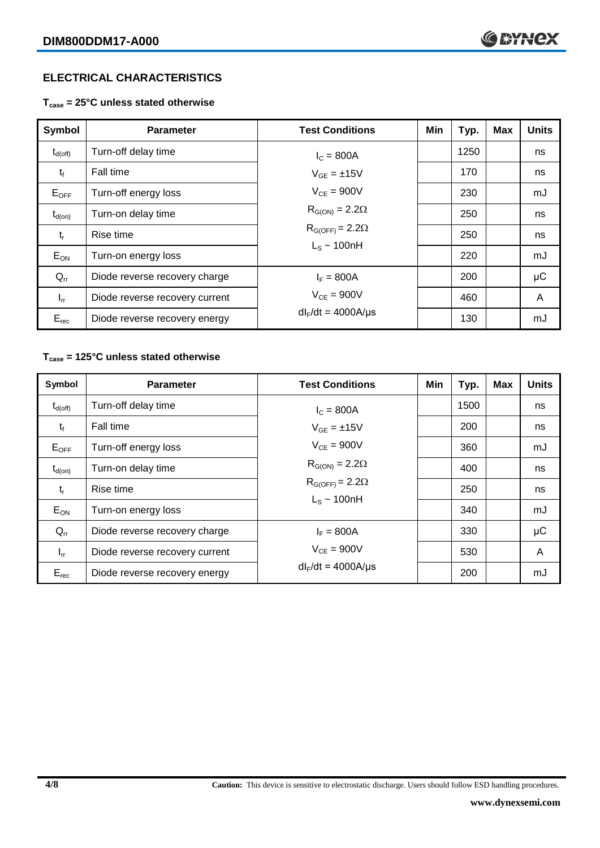#### **ELECTRICAL CHARACTERISTICS**

**Tcase = 25°C unless stated otherwise**

| Symbol              | <b>Parameter</b>               | <b>Test Conditions</b>   | Min | Typ. | <b>Max</b> | <b>Units</b> |
|---------------------|--------------------------------|--------------------------|-----|------|------------|--------------|
| $t_{d(\text{off})}$ | Turn-off delay time            | $I_{C} = 800A$           |     | 1250 |            | ns           |
| $t_{f}$             | Fall time                      | $V_{GF} = \pm 15V$       |     | 170  |            | ns           |
| $E_{OFF}$           | Turn-off energy loss           | $V_{CF} = 900V$          |     | 230  |            | mJ           |
| $t_{d(on)}$         | Turn-on delay time             | $R_{G(ON)} = 2.2\Omega$  |     | 250  |            | ns           |
| $t_{r}$             | Rise time                      | $R_{G(OFF)} = 2.2\Omega$ |     | 250  |            | ns           |
| $E_{ON}$            | Turn-on energy loss            | $L_s \sim 100$ nH        |     | 220  |            | mJ           |
| $Q_{rr}$            | Diode reverse recovery charge  | $I_F = 800A$             |     | 200  |            | $\mu$ C      |
| $I_{rr}$            | Diode reverse recovery current | $V_{CF} = 900V$          |     | 460  |            | A            |
| $E_{rec}$           | Diode reverse recovery energy  | $dl_F/dt = 4000A/\mu s$  |     | 130  |            | mJ           |

#### **Tcase = 125°C unless stated otherwise**

| Symbol              | <b>Parameter</b>               | <b>Test Conditions</b>   | Min | Typ. | <b>Max</b> | <b>Units</b> |
|---------------------|--------------------------------|--------------------------|-----|------|------------|--------------|
| $t_{d(\text{off})}$ | Turn-off delay time            | $I_{C} = 800A$           |     | 1500 |            | ns           |
| $t_{f}$             | Fall time                      | $V_{GF} = \pm 15V$       |     | 200  |            | ns           |
| $E_{OFF}$           | Turn-off energy loss           | $V_{CF} = 900V$          |     | 360  |            | mJ           |
| $t_{d(on)}$         | Turn-on delay time             | $R_{G(ON)} = 2.2\Omega$  |     | 400  |            | ns           |
| $t_{r}$             | Rise time                      | $R_{G(OFF)} = 2.2\Omega$ |     | 250  |            | ns           |
| $E_{ON}$            | Turn-on energy loss            | $L_s \sim 100nH$         |     | 340  |            | mJ           |
| $Q_{rr}$            | Diode reverse recovery charge  | $I_F = 800A$             |     | 330  |            | μC           |
| $I_{rr}$            | Diode reverse recovery current | $V_{CE}$ = 900V          |     | 530  |            | A            |
| $E_{rec}$           | Diode reverse recovery energy  | $dl_F/dt = 4000A/\mu s$  |     | 200  |            | mJ           |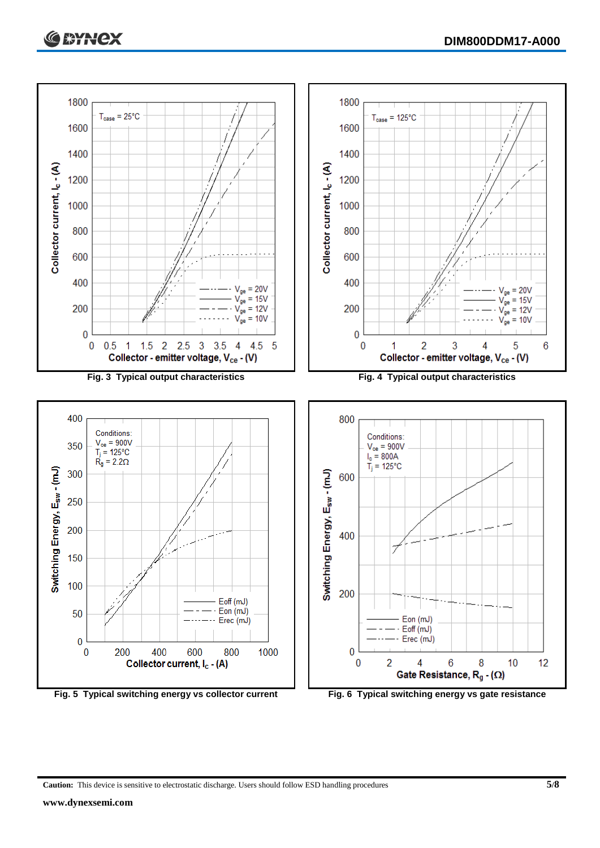



**Caution:** This device is sensitive to electrostatic discharge. Users should follow ESD handling procedures **5/8**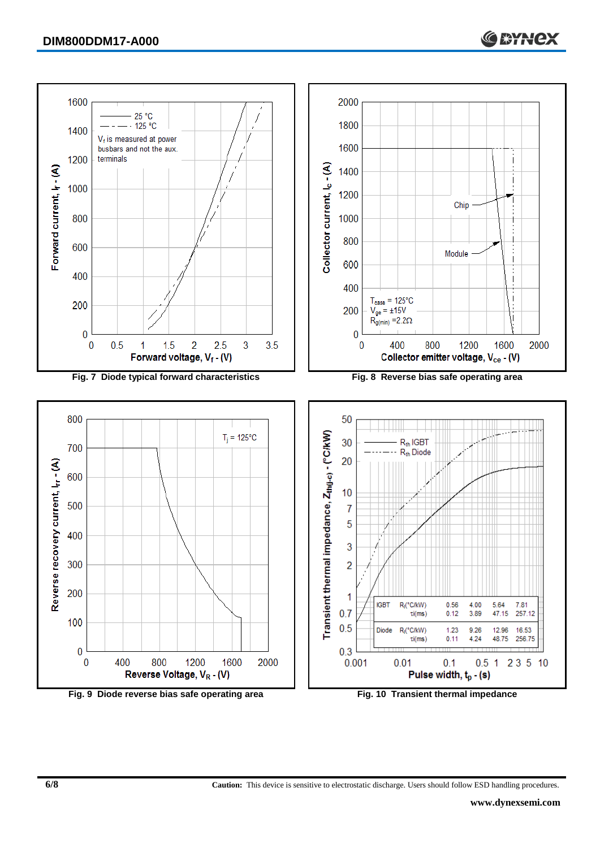

**Fig. 9 Diode reverse bias safe operating area Fig. 10 Transient thermal impedance**

**6/8 Caution:** This device is sensitive to electrostatic discharge. Users should follow ESD handling procedures.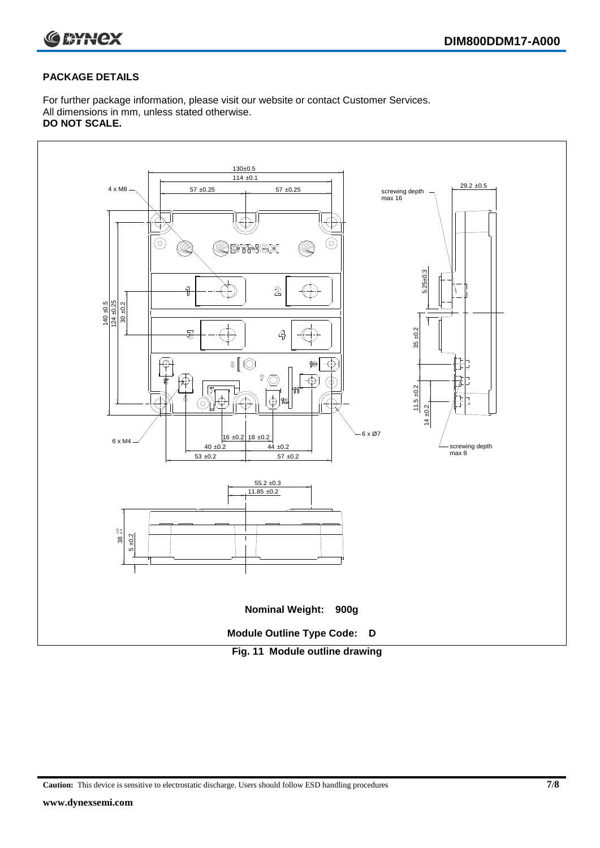

#### **PACKAGE DETAILS**

For further package information, please visit our website or contact Customer Services. All dimensions in mm, unless stated otherwise. **DO NOT SCALE.**



**Caution:** This device is sensitive to electrostatic discharge. Users should follow ESD handling procedures **7/8**